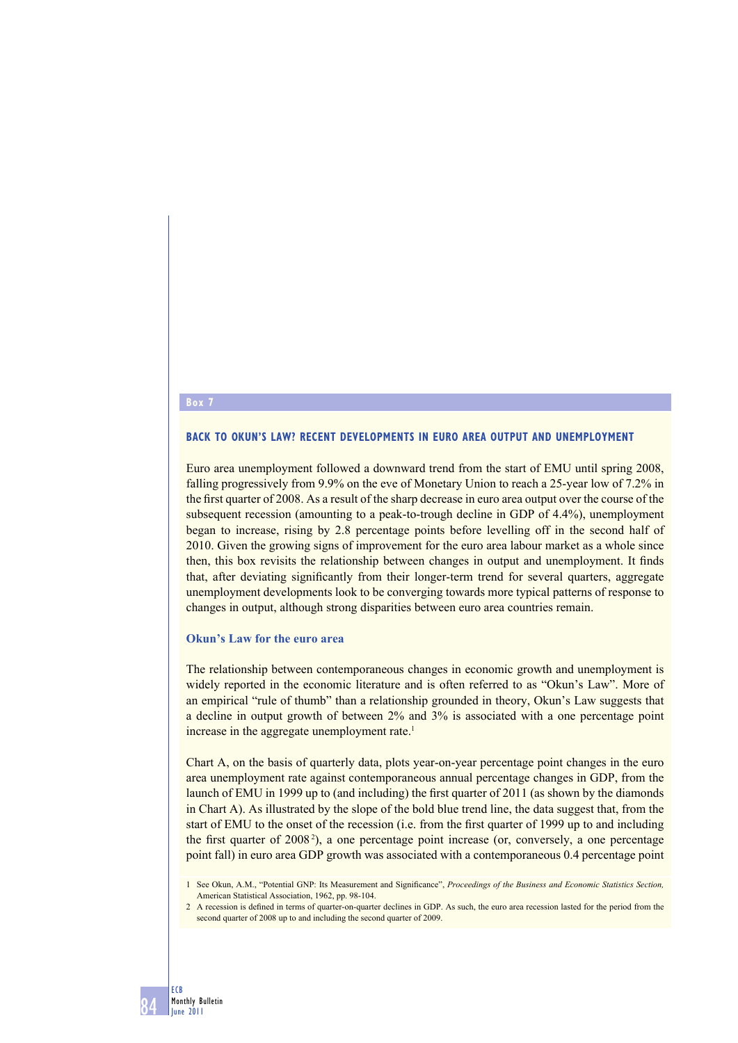# **Box 7**

## **BACK TO OKUN'S LAW? RECENT DEVELOPMENTS IN EURO AREA OUTPUT AND UNEMPLOYMENT**

Euro area unemployment followed a downward trend from the start of EMU until spring 2008, falling progressively from 9.9% on the eve of Monetary Union to reach a 25-year low of 7.2% in the first quarter of 2008. As a result of the sharp decrease in euro area output over the course of the subsequent recession (amounting to a peak-to-trough decline in GDP of 4.4%), unemployment began to increase, rising by 2.8 percentage points before levelling off in the second half of 2010. Given the growing signs of improvement for the euro area labour market as a whole since then, this box revisits the relationship between changes in output and unemployment. It finds that, after deviating significantly from their longer-term trend for several quarters, aggregate unemployment developments look to be converging towards more typical patterns of response to changes in output, although strong disparities between euro area countries remain.

#### **Okun's Law for the euro area**

The relationship between contemporaneous changes in economic growth and unemployment is widely reported in the economic literature and is often referred to as "Okun's Law". More of an empirical "rule of thumb" than a relationship grounded in theory, Okun's Law suggests that a decline in output growth of between 2% and 3% is associated with a one percentage point increase in the aggregate unemployment rate.<sup>1</sup>

Chart A, on the basis of quarterly data, plots year-on-year percentage point changes in the euro area unemployment rate against contemporaneous annual percentage changes in GDP, from the launch of EMU in 1999 up to (and including) the first quarter of  $2011$  (as shown by the diamonds in Chart A). As illustrated by the slope of the bold blue trend line, the data suggest that, from the start of EMU to the onset of the recession (i.e. from the first quarter of 1999 up to and including the first quarter of 2008<sup>2</sup>), a one percentage point increase (or, conversely, a one percentage point fall) in euro area GDP growth was associated with a contemporaneous 0.4 percentage point

<sup>1</sup> See Okun, A.M., "Potential GNP: Its Measurement and Significance", Proceedings of the Business and Economic Statistics Section, American Statistical Association, 1962, pp. 98-104.

<sup>2</sup> A recession is defined in terms of quarter-on-quarter declines in GDP. As such, the euro area recession lasted for the period from the second quarter of 2008 up to and including the second quarter of 2009.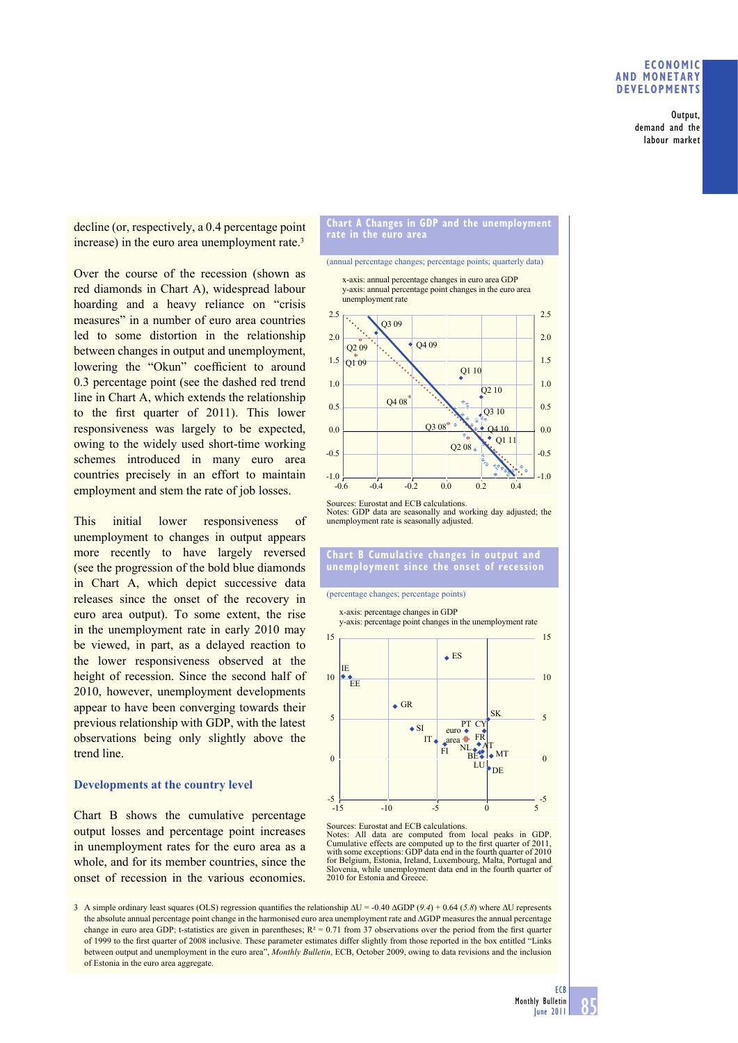## **ECONOMIC AND MONETARY DEVELOPMENTS**

Output, demand and the labour market

decline (or, respectively, a 0.4 percentage point increase) in the euro area unemployment rate.<sup>3</sup>

Over the course of the recession (shown as red diamonds in Chart A), widespread labour hoarding and a heavy reliance on "crisis measures" in a number of euro area countries led to some distortion in the relationship between changes in output and unemployment, lowering the "Okun" coefficient to around 0.3 percentage point (see the dashed red trend line in Chart A, which extends the relationship to the first quarter of 2011). This lower responsiveness was largely to be expected, owing to the widely used short-time working schemes introduced in many euro area countries precisely in an effort to maintain employment and stem the rate of job losses.

This initial lower responsiveness of unemployment to changes in output appears more recently to have largely reversed (see the progression of the bold blue diamonds in Chart A, which depict successive data releases since the onset of the recovery in euro area output). To some extent, the rise in the unemployment rate in early 2010 may be viewed, in part, as a delayed reaction to the lower responsiveness observed at the height of recession. Since the second half of 2010, however, unemployment developments appear to have been converging towards their previous relationship with GDP, with the latest observations being only slightly above the trend line.

## **Developments at the country level**

Chart B shows the cumulative percentage output losses and percentage point increases in unemployment rates for the euro area as a whole, and for its member countries, since the onset of recession in the various economies.

#### **Chart A Changes in GDP and the unemployment rate in the euro area**

(annual percentage changes; percentage points; quarterly data) x-axis: annual percentage changes in euro area GDP

y-axis: annual percentage point changes in the euro area unemployment rate



Sources: Eurostat and ECB calculations. Sources. Eurosial and ECD caronations.<br>Notes: GDP data are seasonally and working day adjusted; the unemployment rate is seasonally adjusted.

### **Chart B Cumulative changes in output and unemployment since the onset of recession**

#### (percentage changes; percentage points)

DE MT IT  $\bullet$  area  $\bullet$  FR PT CY SK  $\triangle$  SI  $\triangle$  GR  $\triangle$  ES IE **FF**  $-5$   $-15$  $\epsilon$ 5 10 15  $-5$ 0 5 10 15 5 euro NL FI<sup>NL</sup><sub>BE</sub> x-axis: percentage changes in GDP y-axis: percentage point changes in the unemployment rate AT  $-15$   $-10$   $-5$  0 LU

Sources: Eurostat and ECB calculations.<br>Notes: All data are computed from

All data are computed from local peaks in GDP. Cumulative effects are computed up to the first quarter of 2011, with some exceptions: GDP data end in the fourth quarter of 2010 for Belgium, Estonia, Ireland, Luxembourg, Malta, Portugal and Slovenia, while unemployment data end in the fourth quarter of 2010 for Estonia and Greece.

3 A simple ordinary least squares (OLS) regression quantifies the relationship  $\Delta U = -0.40 \,\Delta GDP$  (*9.4*) + 0.64 (*5.8*) where  $\Delta U$  represents the absolute annual percentage point change in the harmonised euro area unemployment rate and ∆GDP measures the annual percentage change in euro area GDP; t-statistics are given in parentheses;  $R^2 = 0.71$  from 37 observations over the period from the first quarter of 1999 to the first quarter of 2008 inclusive. These parameter estimates differ slightly from those reported in the box entitled "Links between output and unemployment in the euro area", *Monthly Bulletin*, ECB, October 2009, owing to data revisions and the inclusion of Estonia in the euro area aggregate.